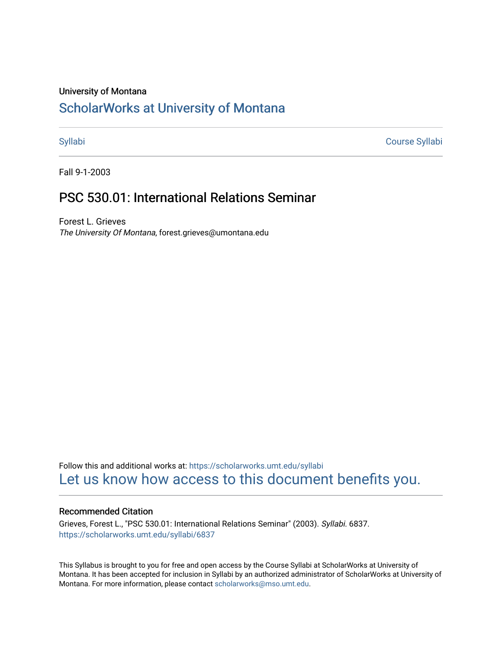### University of Montana

# [ScholarWorks at University of Montana](https://scholarworks.umt.edu/)

[Syllabi](https://scholarworks.umt.edu/syllabi) [Course Syllabi](https://scholarworks.umt.edu/course_syllabi) 

Fall 9-1-2003

# PSC 530.01: International Relations Seminar

Forest L. Grieves The University Of Montana, forest.grieves@umontana.edu

Follow this and additional works at: [https://scholarworks.umt.edu/syllabi](https://scholarworks.umt.edu/syllabi?utm_source=scholarworks.umt.edu%2Fsyllabi%2F6837&utm_medium=PDF&utm_campaign=PDFCoverPages)  [Let us know how access to this document benefits you.](https://goo.gl/forms/s2rGfXOLzz71qgsB2) 

## Recommended Citation

Grieves, Forest L., "PSC 530.01: International Relations Seminar" (2003). Syllabi. 6837. [https://scholarworks.umt.edu/syllabi/6837](https://scholarworks.umt.edu/syllabi/6837?utm_source=scholarworks.umt.edu%2Fsyllabi%2F6837&utm_medium=PDF&utm_campaign=PDFCoverPages)

This Syllabus is brought to you for free and open access by the Course Syllabi at ScholarWorks at University of Montana. It has been accepted for inclusion in Syllabi by an authorized administrator of ScholarWorks at University of Montana. For more information, please contact [scholarworks@mso.umt.edu.](mailto:scholarworks@mso.umt.edu)